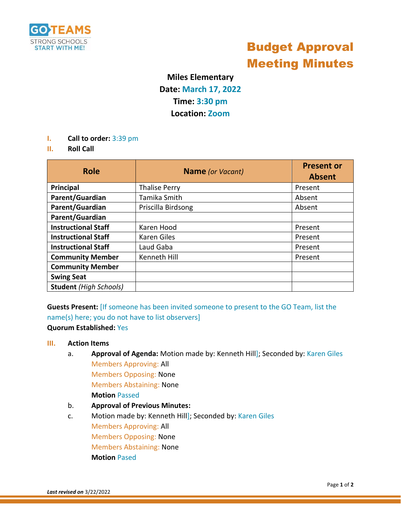

# Budget Approval Meeting Minutes

## **Miles Elementary Date: March 17, 2022 Time: 3:30 pm Location: Zoom**

- **I. Call to order:** 3:39 pm
- **II. Roll Call**

| <b>Role</b>                   | <b>Name</b> (or Vacant) | <b>Present or</b><br><b>Absent</b> |
|-------------------------------|-------------------------|------------------------------------|
| Principal                     | <b>Thalise Perry</b>    | Present                            |
| Parent/Guardian               | Tamika Smith            | Absent                             |
| Parent/Guardian               | Priscilla Birdsong      | Absent                             |
| Parent/Guardian               |                         |                                    |
| <b>Instructional Staff</b>    | Karen Hood              | Present                            |
| <b>Instructional Staff</b>    | Karen Giles             | Present                            |
| <b>Instructional Staff</b>    | Laud Gaba               | Present                            |
| <b>Community Member</b>       | Kenneth Hill            | Present                            |
| <b>Community Member</b>       |                         |                                    |
| <b>Swing Seat</b>             |                         |                                    |
| <b>Student</b> (High Schools) |                         |                                    |

**Guests Present:** [If someone has been invited someone to present to the GO Team, list the name(s) here; you do not have to list observers]

#### **Quorum Established:** Yes

#### **III. Action Items**

- a. **Approval of Agenda:** Motion made by: Kenneth Hill]; Seconded by: Karen Giles Members Approving: All Members Opposing: None Members Abstaining: None **Motion** Passed
- b. **Approval of Previous Minutes:**
- c. Motion made by: Kenneth Hill]; Seconded by: Karen Giles Members Approving: All Members Opposing: None Members Abstaining: None **Motion** Pased